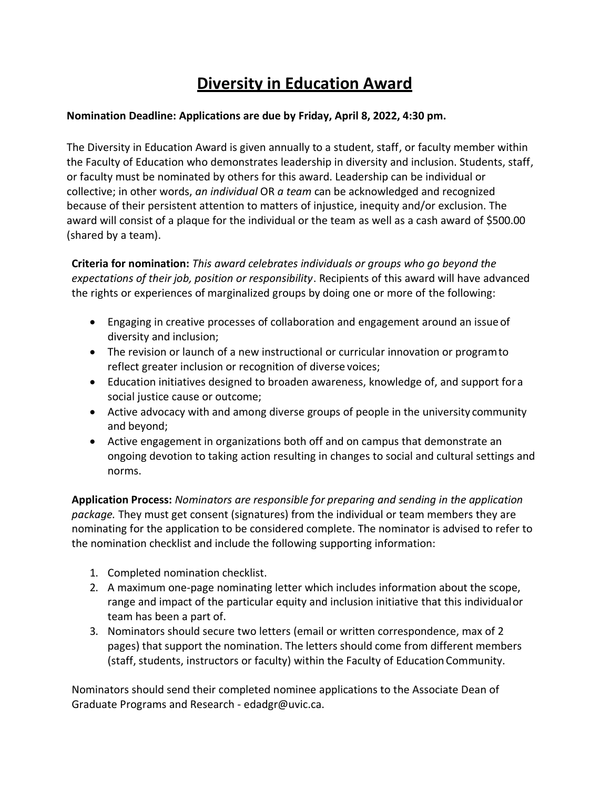## **Diversity in Education Award**

## **Nomination Deadline: Applications are due by Friday, April 8, 2022, 4:30 pm.**

The Diversity in Education Award is given annually to a student, staff, or faculty member within the Faculty of Education who demonstrates leadership in diversity and inclusion. Students, staff, or faculty must be nominated by others for this award. Leadership can be individual or collective; in other words, *an individual* OR *a team* can be acknowledged and recognized because of their persistent attention to matters of injustice, inequity and/or exclusion. The award will consist of a plaque for the individual or the team as well as a cash award of \$500.00 (shared by a team).

**Criteria for nomination:** *This award celebrates individuals or groups who go beyond the expectations of their job, position or responsibility*. Recipients of this award will have advanced the rights or experiences of marginalized groups by doing one or more of the following:

- Engaging in creative processes of collaboration and engagement around an issueof diversity and inclusion;
- The revision or launch of a new instructional or curricular innovation or programto reflect greater inclusion or recognition of diverse voices;
- Education initiatives designed to broaden awareness, knowledge of, and support for a social justice cause or outcome;
- Active advocacy with and among diverse groups of people in the university community and beyond;
- Active engagement in organizations both off and on campus that demonstrate an ongoing devotion to taking action resulting in changes to social and cultural settings and norms.

**Application Process:** *Nominators are responsible for preparing and sending in the application package.* They must get consent (signatures) from the individual or team members they are nominating for the application to be considered complete. The nominator is advised to refer to the nomination checklist and include the following supporting information:

- 1. Completed nomination checklist.
- 2. A maximum one-page nominating letter which includes information about the scope, range and impact of the particular equity and inclusion initiative that this individualor team has been a part of.
- 3. Nominators should secure two letters (email or written correspondence, max of 2 pages) that support the nomination. The letters should come from different members (staff, students, instructors or faculty) within the Faculty of EducationCommunity.

Nominators should send their completed nominee applications to the Associate Dean of Graduate Programs and Research - [edadgr@uvic.ca.](mailto:edadgr@uvic.ca)